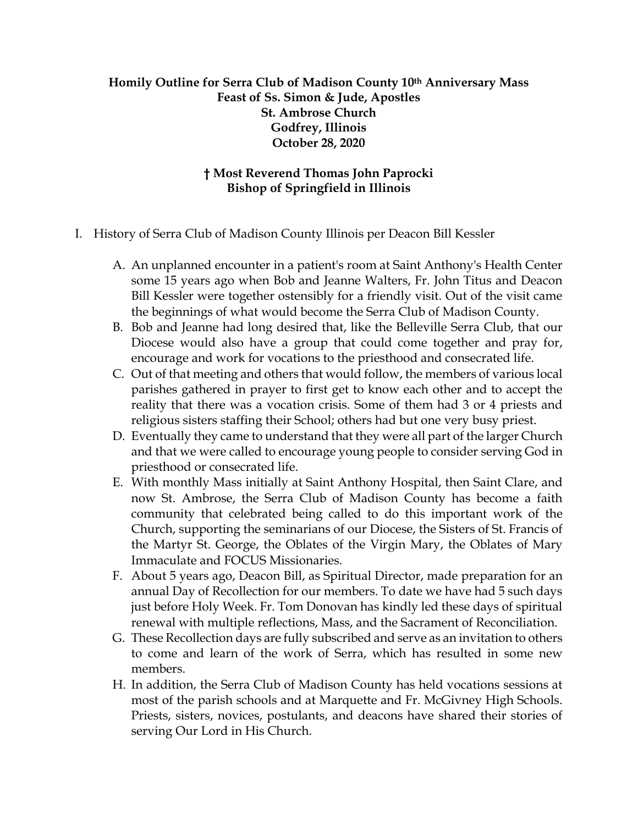## **Homily Outline for Serra Club of Madison County 10th Anniversary Mass Feast of Ss. Simon & Jude, Apostles St. Ambrose Church Godfrey, Illinois October 28, 2020**

## **† Most Reverend Thomas John Paprocki Bishop of Springfield in Illinois**

- I. History of Serra Club of Madison County Illinois per Deacon Bill Kessler
	- A. An unplanned encounter in a patient's room at Saint Anthony's Health Center some 15 years ago when Bob and Jeanne Walters, Fr. John Titus and Deacon Bill Kessler were together ostensibly for a friendly visit. Out of the visit came the beginnings of what would become the Serra Club of Madison County.
	- B. Bob and Jeanne had long desired that, like the Belleville Serra Club, that our Diocese would also have a group that could come together and pray for, encourage and work for vocations to the priesthood and consecrated life.
	- C. Out of that meeting and others that would follow, the members of various local parishes gathered in prayer to first get to know each other and to accept the reality that there was a vocation crisis. Some of them had 3 or 4 priests and religious sisters staffing their School; others had but one very busy priest.
	- D. Eventually they came to understand that they were all part of the larger Church and that we were called to encourage young people to consider serving God in priesthood or consecrated life.
	- E. With monthly Mass initially at Saint Anthony Hospital, then Saint Clare, and now St. Ambrose, the Serra Club of Madison County has become a faith community that celebrated being called to do this important work of the Church, supporting the seminarians of our Diocese, the Sisters of St. Francis of the Martyr St. George, the Oblates of the Virgin Mary, the Oblates of Mary Immaculate and FOCUS Missionaries.
	- F. About 5 years ago, Deacon Bill, as Spiritual Director, made preparation for an annual Day of Recollection for our members. To date we have had 5 such days just before Holy Week. Fr. Tom Donovan has kindly led these days of spiritual renewal with multiple reflections, Mass, and the Sacrament of Reconciliation.
	- G. These Recollection days are fully subscribed and serve as an invitation to others to come and learn of the work of Serra, which has resulted in some new members.
	- H. In addition, the Serra Club of Madison County has held vocations sessions at most of the parish schools and at Marquette and Fr. McGivney High Schools. Priests, sisters, novices, postulants, and deacons have shared their stories of serving Our Lord in His Church.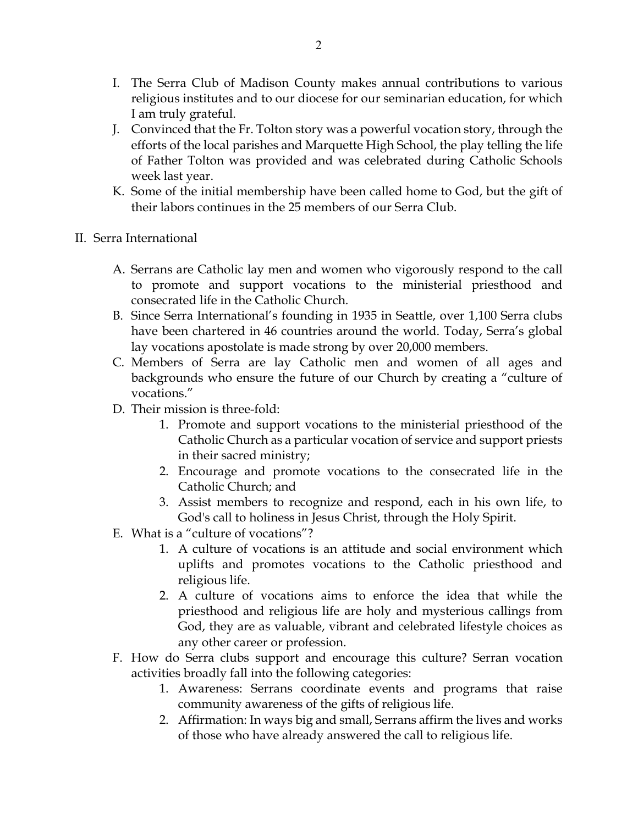- I. The Serra Club of Madison County makes annual contributions to various religious institutes and to our diocese for our seminarian education, for which I am truly grateful.
- J. Convinced that the Fr. Tolton story was a powerful vocation story, through the efforts of the local parishes and Marquette High School, the play telling the life of Father Tolton was provided and was celebrated during Catholic Schools week last year.
- K. Some of the initial membership have been called home to God, but the gift of their labors continues in the 25 members of our Serra Club.
- II. Serra International
	- A. Serrans are Catholic lay men and women who vigorously respond to the call to promote and support vocations to the ministerial priesthood and consecrated life in the Catholic Church.
	- B. Since Serra International's founding in 1935 in Seattle, over 1,100 Serra clubs have been chartered in 46 countries around the world. Today, Serra's global lay vocations apostolate is made strong by over 20,000 members.
	- C. Members of Serra are lay Catholic men and women of all ages and backgrounds who ensure the future of our Church by creating a "culture of vocations."
	- D. Their mission is three-fold:
		- 1. Promote and support vocations to the ministerial priesthood of the Catholic Church as a particular vocation of service and support priests in their sacred ministry;
		- 2. Encourage and promote vocations to the consecrated life in the Catholic Church; and
		- 3. Assist members to recognize and respond, each in his own life, to God's call to holiness in Jesus Christ, through the Holy Spirit.
	- E. What is a "culture of vocations"?
		- 1. A culture of vocations is an attitude and social environment which uplifts and promotes vocations to the Catholic priesthood and religious life.
		- 2. A culture of vocations aims to enforce the idea that while the priesthood and religious life are holy and mysterious callings from God, they are as valuable, vibrant and celebrated lifestyle choices as any other career or profession.
	- F. How do Serra clubs support and encourage this culture? Serran vocation activities broadly fall into the following categories:
		- 1. Awareness: Serrans coordinate events and programs that raise community awareness of the gifts of religious life.
		- 2. Affirmation: In ways big and small, Serrans affirm the lives and works of those who have already answered the call to religious life.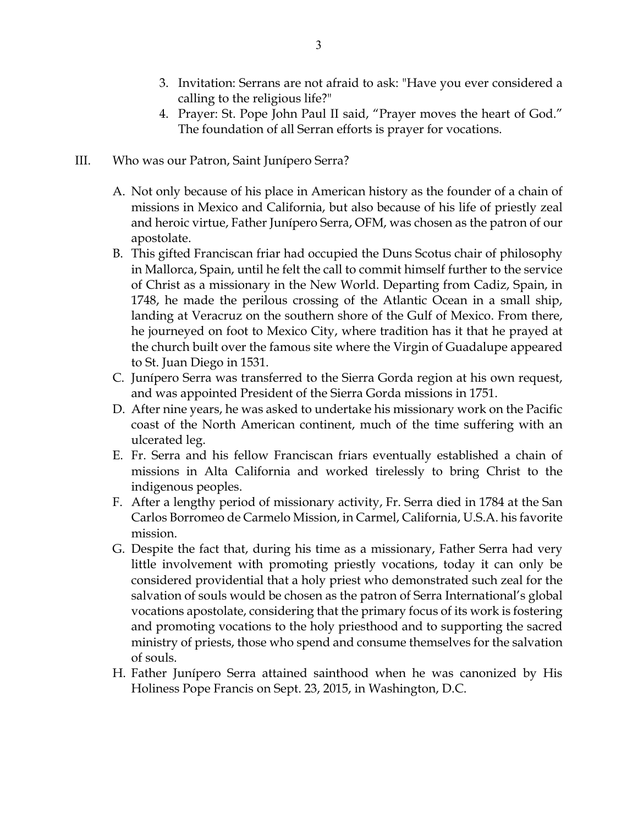- 3. Invitation: Serrans are not afraid to ask: "Have you ever considered a calling to the religious life?"
- 4. Prayer: St. Pope John Paul II said, "Prayer moves the heart of God." The foundation of all Serran efforts is prayer for vocations.
- III. Who was our Patron, Saint Junípero Serra?
	- A. Not only because of his place in American history as the founder of a chain of missions in Mexico and California, but also because of his life of priestly zeal and heroic virtue, Father Junípero Serra, OFM, was chosen as the patron of our apostolate.
	- B. This gifted Franciscan friar had occupied the Duns Scotus chair of philosophy in Mallorca, Spain, until he felt the call to commit himself further to the service of Christ as a missionary in the New World. Departing from Cadiz, Spain, in 1748, he made the perilous crossing of the Atlantic Ocean in a small ship, landing at Veracruz on the southern shore of the Gulf of Mexico. From there, he journeyed on foot to Mexico City, where tradition has it that he prayed at the church built over the famous site where the Virgin of Guadalupe appeared to St. Juan Diego in 1531.
	- C. Junípero Serra was transferred to the Sierra Gorda region at his own request, and was appointed President of the Sierra Gorda missions in 1751.
	- D. After nine years, he was asked to undertake his missionary work on the Pacific coast of the North American continent, much of the time suffering with an ulcerated leg.
	- E. Fr. Serra and his fellow Franciscan friars eventually established a chain of missions in Alta California and worked tirelessly to bring Christ to the indigenous peoples.
	- F. After a lengthy period of missionary activity, Fr. Serra died in 1784 at the San Carlos Borromeo de Carmelo Mission, in Carmel, California, U.S.A. his favorite mission.
	- G. Despite the fact that, during his time as a missionary, Father Serra had very little involvement with promoting priestly vocations, today it can only be considered providential that a holy priest who demonstrated such zeal for the salvation of souls would be chosen as the patron of Serra International's global vocations apostolate, considering that the primary focus of its work is fostering and promoting vocations to the holy priesthood and to supporting the sacred ministry of priests, those who spend and consume themselves for the salvation of souls.
	- H. Father Junípero Serra attained sainthood when he was canonized by His Holiness Pope Francis on Sept. 23, 2015, in Washington, D.C.